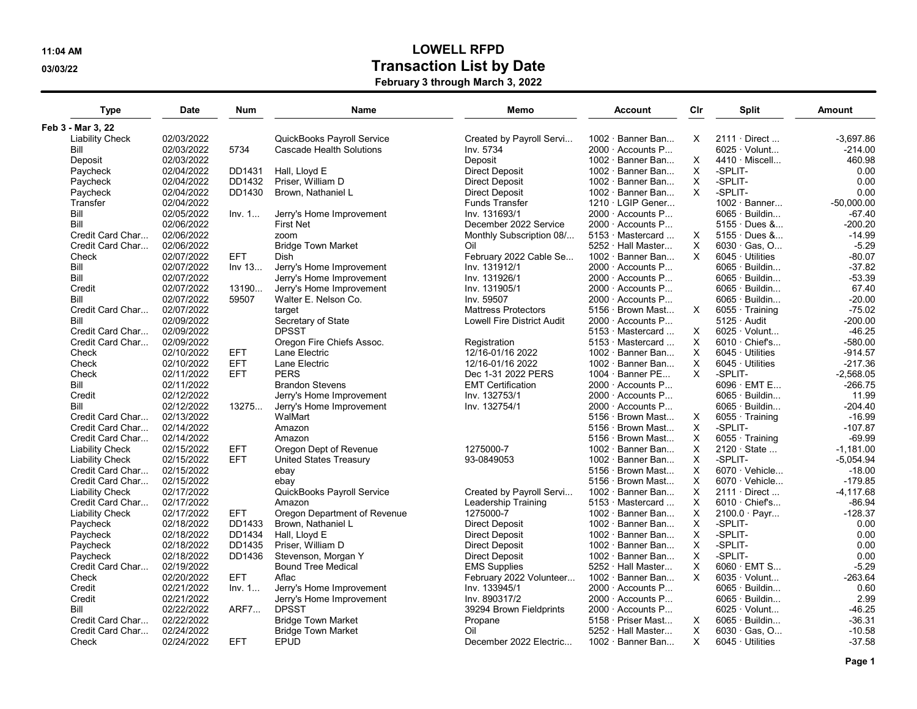## 11:04 AM LOWELL RFPD 03/03/22 Or and the USA of the USA or the USA or the USA or the USA or the USA or the USA or the USA or the USA

February 3 through March 3, 2022

| <b>Type</b>            | <b>Date</b> | Num         | Name                               | Memo                       | <b>Account</b>           | Clr      | <b>Split</b>           | Amount       |
|------------------------|-------------|-------------|------------------------------------|----------------------------|--------------------------|----------|------------------------|--------------|
| Feb 3 - Mar 3, 22      |             |             |                                    |                            |                          |          |                        |              |
| <b>Liability Check</b> | 02/03/2022  |             | QuickBooks Payroll Service         | Created by Payroll Servi   | $1002 \cdot$ Banner Ban  | X.       | $2111 \cdot$ Direct    | $-3,697.86$  |
| Bill                   | 02/03/2022  | 5734        | <b>Cascade Health Solutions</b>    | Inv. 5734                  | 2000 Accounts P          |          | $6025 \cdot$ Volunt    | $-214.00$    |
| Deposit                | 02/03/2022  |             |                                    | Deposit                    | $1002 \cdot$ Banner Ban  | X        | $4410 \cdot$ Miscell   | 460.98       |
| Paycheck               | 02/04/2022  | DD1431      | Hall. Llovd E                      | <b>Direct Deposit</b>      | $1002 \cdot$ Banner Ban  | X        | -SPLIT-                | 0.00         |
| Paycheck               | 02/04/2022  | DD1432      | Priser, William D                  | <b>Direct Deposit</b>      | $1002 \cdot$ Banner Ban  | X        | -SPLIT-                | 0.00         |
| Paycheck               | 02/04/2022  | DD1430      | Brown, Nathaniel L                 | <b>Direct Deposit</b>      | 1002 · Banner Ban        | $\times$ | -SPLIT-                | 0.00         |
| Transfer               | 02/04/2022  |             |                                    | <b>Funds Transfer</b>      | $1210 \cdot$ LGIP Gener  |          | $1002 \cdot$ Banner    | $-50,000.00$ |
| Bill                   | 02/05/2022  | Inv. 1      | Jerry's Home Improvement           | Inv. 131693/1              | $2000 \cdot$ Accounts P  |          | $6065 \cdot$ Buildin   | $-67.40$     |
| Bill                   | 02/06/2022  |             | First Net                          | December 2022 Service      | $2000 \cdot$ Accounts P  |          | $5155 \cdot$ Dues $\&$ | $-200.20$    |
| Credit Card Char       | 02/06/2022  |             | zoom                               | Monthly Subscription 08/   | 5153 Mastercard          | X        | $5155 \cdot$ Dues &    | $-14.99$     |
| Credit Card Char       | 02/06/2022  |             | <b>Bridge Town Market</b>          | Oil                        | $5252 \cdot$ Hall Master | $\times$ | $6030 \cdot$ Gas. O    | $-5.29$      |
| Check                  | 02/07/2022  | <b>EFT</b>  | Dish                               | February 2022 Cable Se     | 1002 · Banner Ban        | $\times$ | $6045 \cdot$ Utilities | $-80.07$     |
| Bill                   | 02/07/2022  | Inv 13      | Jerry's Home Improvement           | Inv. 131912/1              | 2000 Accounts P          |          | $6065 \cdot$ Buildin   | $-37.82$     |
| Bill                   | 02/07/2022  |             | Jerry's Home Improvement           | Inv. 131926/1              | $2000 \cdot$ Accounts P  |          | $6065 \cdot$ Buildin   | $-53.39$     |
| Credit                 | 02/07/2022  | 13190       | Jerry's Home Improvement           | Inv. 131905/1              | 2000 Accounts P          |          | $6065 \cdot$ Buildin   | 67.40        |
| Bill                   | 02/07/2022  | 59507       | Walter E. Nelson Co.               | Inv. 59507                 | $2000 \cdot$ Accounts P  |          | $6065 \cdot$ Buildin   | $-20.00$     |
| Credit Card Char       | 02/07/2022  |             |                                    | <b>Mattress Protectors</b> | 5156 · Brown Mast        | $\times$ | $6055 \cdot$ Training  | $-75.02$     |
| Bill                   | 02/09/2022  |             | target                             |                            | 2000 Accounts P          |          |                        | $-200.00$    |
|                        |             |             | Secretary of State<br><b>DPSST</b> | Lowell Fire District Audit | 5153 Mastercard          |          | $5125 \cdot$ Audit     |              |
| Credit Card Char       | 02/09/2022  |             |                                    |                            |                          | X        | $6025 \cdot$ Volunt    | $-46.25$     |
| Credit Card Char       | 02/09/2022  |             | Oregon Fire Chiefs Assoc.          | Registration               | 5153 Mastercard          | X        | $6010 \cdot$ Chief's   | $-580.00$    |
| Check                  | 02/10/2022  | <b>EFT</b>  | Lane Electric                      | 12/16-01/16 2022           | $1002 \cdot$ Banner Ban  | X        | $6045 \cdot$ Utilities | $-914.57$    |
| Check                  | 02/10/2022  | <b>EFT</b>  | Lane Electric                      | 12/16-01/16 2022           | 1002 · Banner Ban        | $\times$ | $6045 \cdot$ Utilities | $-217.36$    |
| Check                  | 02/11/2022  | <b>EFT</b>  | <b>PERS</b>                        | Dec 1-31 2022 PERS         | 1004 · Banner PE         | X        | -SPLIT-                | $-2,568.05$  |
| Bill                   | 02/11/2022  |             | <b>Brandon Stevens</b>             | <b>EMT Certification</b>   | 2000 Accounts P          |          | $6096 \cdot$ EMT E     | $-266.75$    |
| Credit                 | 02/12/2022  |             | Jerry's Home Improvement           | Inv. 132753/1              | 2000 Accounts P          |          | $6065 \cdot$ Buildin   | 11.99        |
| Bill                   | 02/12/2022  | 13275       | Jerry's Home Improvement           | Inv. 132754/1              | 2000 Accounts P          |          | $6065 \cdot$ Buildin   | $-204.40$    |
| Credit Card Char       | 02/13/2022  |             | WalMart                            |                            | 5156 · Brown Mast        | X        | $6055 \cdot$ Training  | $-16.99$     |
| Credit Card Char       | 02/14/2022  |             | Amazon                             |                            | $5156 \cdot$ Brown Mast  | $\times$ | -SPLIT-                | $-107.87$    |
| Credit Card Char       | 02/14/2022  |             | Amazon                             |                            | $5156 \cdot$ Brown Mast  | X        | $6055 \cdot$ Training  | $-69.99$     |
| <b>Liability Check</b> | 02/15/2022  | <b>EFT</b>  | Oregon Dept of Revenue             | 1275000-7                  | $1002 \cdot$ Banner Ban  | X        | $2120 \cdot$ State     | $-1,181.00$  |
| <b>Liability Check</b> | 02/15/2022  | <b>EFT</b>  | <b>United States Treasury</b>      | 93-0849053                 | 1002 · Banner Ban        | X        | -SPLIT-                | $-5,054.94$  |
| Credit Card Char       | 02/15/2022  |             | ebay                               |                            | 5156 · Brown Mast        | $\times$ | $6070 \cdot$ Vehicle   | $-18.00$     |
| Credit Card Char       | 02/15/2022  |             | ebay                               |                            | $5156 \cdot$ Brown Mast  | X        | $6070 \cdot$ Vehicle   | $-179.85$    |
| <b>Liability Check</b> | 02/17/2022  |             | QuickBooks Payroll Service         | Created by Payroll Servi   | $1002 \cdot$ Banner Ban  | X        | $2111 \cdot$ Direct    | $-4, 117.68$ |
| Credit Card Char       | 02/17/2022  |             | Amazon                             | Leadership Training        | 5153 Mastercard          | $\times$ | $6010 \cdot$ Chief's   | $-86.94$     |
| <b>Liability Check</b> | 02/17/2022  | <b>EFT</b>  | Oregon Department of Revenue       | 1275000-7                  | $1002 \cdot$ Banner Ban  | X        | 2100.0 · Payr          | $-128.37$    |
| Paycheck               | 02/18/2022  | DD1433      | Brown, Nathaniel L                 | <b>Direct Deposit</b>      | $1002 \cdot$ Banner Ban  | X        | -SPLIT-                | 0.00         |
| Paycheck               | 02/18/2022  | DD1434      | Hall, Lloyd E                      | Direct Deposit             | 1002 · Banner Ban        | X        | -SPLIT-                | 0.00         |
| Paycheck               | 02/18/2022  | DD1435      | Priser, William D                  | <b>Direct Deposit</b>      | 1002 · Banner Ban        | X        | -SPLIT-                | 0.00         |
| Paycheck               | 02/18/2022  | DD1436      | Stevenson, Morgan Y                | <b>Direct Deposit</b>      | 1002 · Banner Ban        | X        | -SPLIT-                | 0.00         |
| Credit Card Char       | 02/19/2022  |             | <b>Bound Tree Medical</b>          | <b>EMS Supplies</b>        | 5252 · Hall Master       | X        | $6060 \cdot EMT S$     | $-5.29$      |
| Check                  | 02/20/2022  | <b>EFT</b>  | Aflac                              | February 2022 Volunteer    | $1002 \cdot$ Banner Ban  | $\times$ | $6035 \cdot$ Volunt    | $-263.64$    |
| Credit                 | 02/21/2022  | Inv. 1      | Jerry's Home Improvement           | Inv. 133945/1              | $2000 \cdot$ Accounts P  |          | $6065 \cdot$ Buildin   | 0.60         |
| Credit                 | 02/21/2022  |             | Jerry's Home Improvement           | Inv. 890317/2              | 2000 Accounts P          |          | $6065 \cdot$ Buildin   | 2.99         |
| Bill                   | 02/22/2022  | <b>ARF7</b> | <b>DPSST</b>                       | 39294 Brown Fieldprints    | $2000 \cdot$ Accounts P  |          | $6025 \cdot$ Volunt    | $-46.25$     |
| Credit Card Char       | 02/22/2022  |             | <b>Bridge Town Market</b>          | Propane                    | 5158 · Priser Mast       | X        | $6065 \cdot$ Buildin   | $-36.31$     |
| Credit Card Char       | 02/24/2022  |             | <b>Bridge Town Market</b>          | Oil                        | $5252 \cdot$ Hall Master | X        | $6030 \cdot$ Gas, O    | $-10.58$     |
| Check                  | 02/24/2022  | <b>EFT</b>  | <b>EPUD</b>                        | December 2022 Electric     | 1002 · Banner Ban        | X        | $6045 \cdot$ Utilities | $-37.58$     |